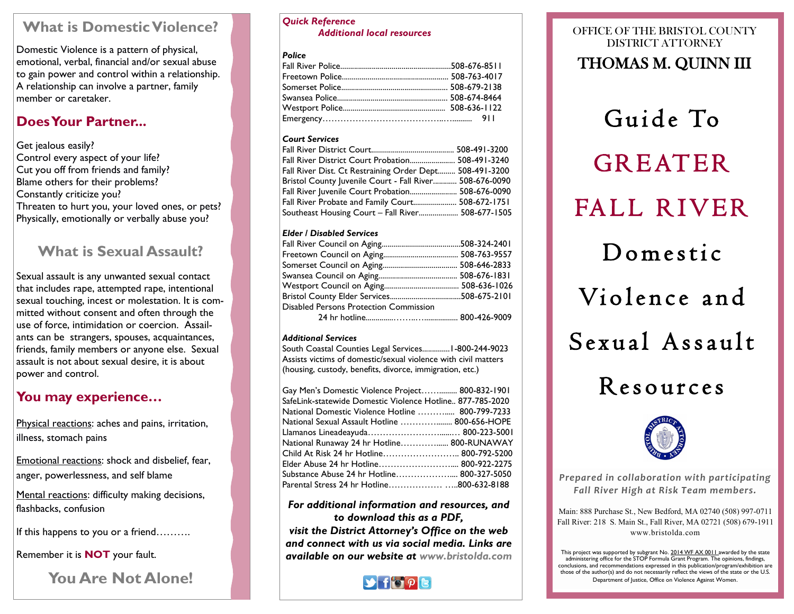# **What is Domestic Violence?**

Domestic Violence is a pattern of physical, emotional, verbal, financial and/or sexual abuse to gain power and control within a relationship. A relationship can involve a partner, family member or caretaker.

## **Does Your Partner...**

Get jealous easily? Control every aspect of your life? Cut you off from friends and family? Blame others for their problems? Constantly criticize you? Threaten to hurt you, your loved ones, or pets? Physically, emotionally or verbally abuse you?

# **What is Sexual Assault?**

Sexual assault is any unwanted sexual contact that includes rape, attempted rape, intentional sexual touching, incest or molestation. It is committed without consent and often through the use of force, intimidation or coercion. Assailants can be strangers, spouses, acquaintances, friends, family members or anyone else. Sexual assault is not about sexual desire, it is about power and control.

# **You may experience…**

Physical reactions: aches and pains, irritation, illness, stomach pains

Emotional reactions: shock and disbelief, fear, anger, powerlessness, and self blame

Mental reactions: difficulty making decisions, flashbacks, confusion

If this happens to you or a friend……….

Remember it is **NOT** your fault.

**You Are Not Alone!**

#### *Quick Reference Additional local resources*

## *Police*

## *Court Services*

| Fall River District Court Probation 508-491-3240        |  |
|---------------------------------------------------------|--|
| Fall River Dist. Ct Restraining Order Dept 508-491-3200 |  |
| Bristol County Juvenile Court - Fall River 508-676-0090 |  |
|                                                         |  |
| Fall River Probate and Family Court 508-672-1751        |  |
| Southeast Housing Court – Fall River 508-677-1505       |  |
|                                                         |  |

## *Elder / Disabled Services*

| Disabled Persons Protection Commission |  |
|----------------------------------------|--|
|                                        |  |

### *Additional Services*

South Coastal Counties Legal Services..............1-800-244-9023 Assists victims of domestic/sexual violence with civil matters (housing, custody, benefits, divorce, immigration, etc.)

| Gay Men's Domestic Violence Project 800-832-1901          |  |
|-----------------------------------------------------------|--|
| SafeLink-statewide Domestic Violence Hotline 877-785-2020 |  |
| National Domestic Violence Hotline  800-799-7233          |  |
| National Sexual Assault Hotline  800-656-HOPE             |  |
|                                                           |  |
| National Runaway 24 hr Hotline 800-RUNAWAY                |  |
| Child At Risk 24 hr Hotline 800-792-5200                  |  |
| Elder Abuse 24 hr Hotline 800-922-2275                    |  |
| Substance Abuse 24 hr Hotline 800-327-5050                |  |
|                                                           |  |

## *For additional information and resources, and to download this as a PDF,*

*visit the District Attorney's Office on the web and connect with us via social media. Links are available on our website at www.bristolda.com* 



## OFFICE OF THE BRISTOL COUNTY DISTRICT ATTORNEY THOMAS M. QUINN III

Guide To **GREATER** FALL RIVER Domestic Violence and  $S$ exual Assault Resources



*Prepared in collaboration with participating Fall River High at Risk Team members.*

Main: 888 Purchase St., New Bedford, MA 02740 (508) 997-0711 Fall River: 218 S. Main St., Fall River, MA 02721 (508) 679-1911 www.bristolda.com

This project was supported by subgrant No. 2014 WF AX 0011 awarded by the state administering office for the STOP Formula Grant Program. The opinions, findings, conclusions, and recommendations expressed in this publication/program/exhibition are those of the author(s) and do not necessarily reflect the views of the state or the U.S. Department of Justice, Office on Violence Against Women.